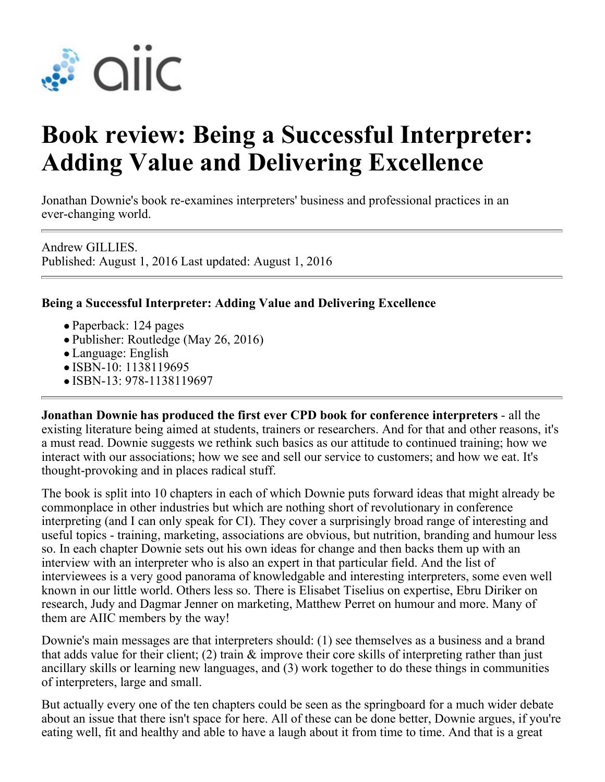

## **Book review: Being a Successful Interpreter: Adding Value and Delivering Excellence**

Jonathan Downie's book re-examines interpreters' business and professional practices in an ever-changing world.

Andrew GILLIES. Published: August 1, 2016 Last updated: August 1, 2016

## **Being a Successful Interpreter: Adding Value and Delivering Excellence**

- Paperback: 124 pages
- Publisher: Routledge (May 26, 2016)
- Language: English
- ISBN-10: 1138119695
- ISBN-13: 978-1138119697

**Jonathan Downie has produced the first ever CPD book for conference interpreters** - all the existing literature being aimed at students, trainers or researchers. And for that and other reasons, it's a must read. Downie suggests we rethink such basics as our attitude to continued training; how we interact with our associations; how we see and sell our service to customers; and how we eat. It's thought-provoking and in places radical stuff.

The book is split into 10 chapters in each of which Downie puts forward ideas that might already be commonplace in other industries but which are nothing short of revolutionary in conference interpreting (and I can only speak for CI). They cover a surprisingly broad range of interesting and useful topics - training, marketing, associations are obvious, but nutrition, branding and humour less so. In each chapter Downie sets out his own ideas for change and then backs them up with an interview with an interpreter who is also an expert in that particular field. And the list of interviewees is a very good panorama of knowledgable and interesting interpreters, some even well known in our little world. Others less so. There is Elisabet Tiselius on expertise, Ebru Diriker on research, Judy and Dagmar Jenner on marketing, Matthew Perret on humour and more. Many of them are AIIC members by the way!

Downie's main messages are that interpreters should: (1) see themselves as a business and a brand that adds value for their client; (2) train & improve their core skills of interpreting rather than just ancillary skills or learning new languages, and (3) work together to do these things in communities of interpreters, large and small.

But actually every one of the ten chapters could be seen as the springboard for a much wider debate about an issue that there isn't space for here. All of these can be done better, Downie argues, if you're eating well, fit and healthy and able to have a laugh about it from time to time. And that is a great